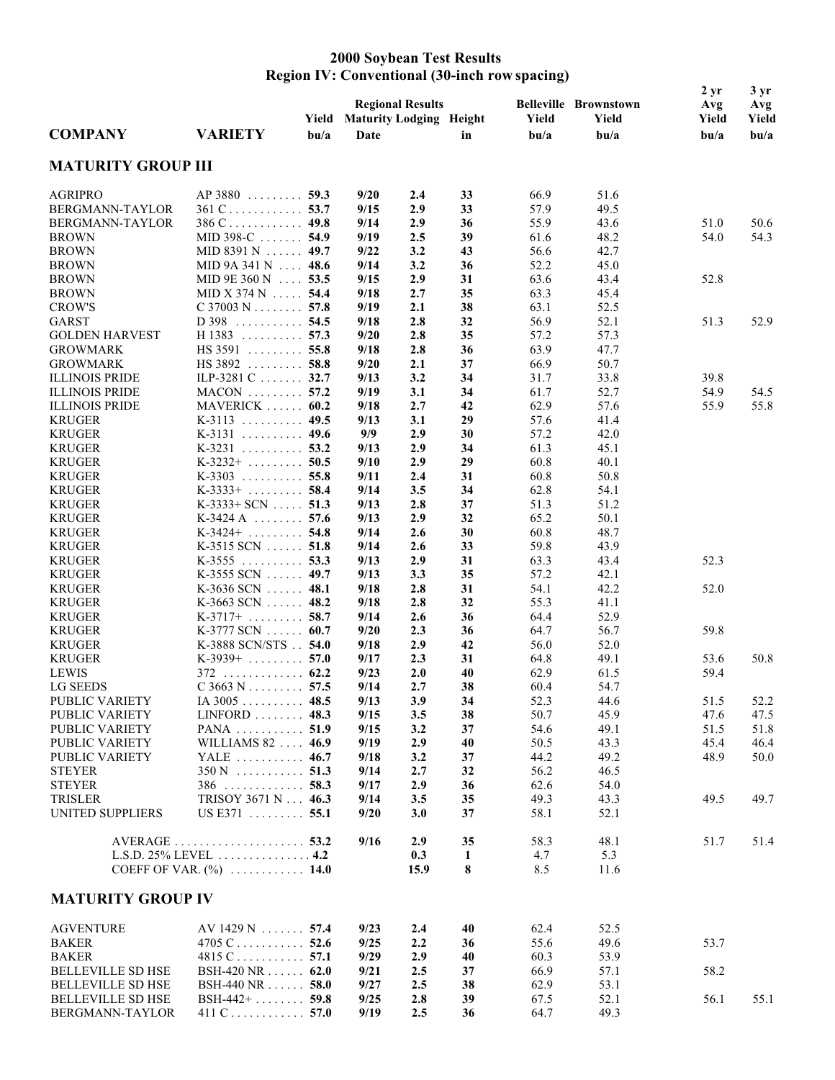## **2000 Soybean Test Results Region IV: Conventional (30-inch row spacing)**

|                                 |                                  | Yield            | <b>Regional Results</b><br><b>Maturity Lodging Height</b> |            |          | Yield            | <b>Belleville Brownstown</b><br>Yield | 2 <sub>yr</sub><br>Avg<br>Yield | 3 <sub>yr</sub><br>Avg<br>Yield |
|---------------------------------|----------------------------------|------------------|-----------------------------------------------------------|------------|----------|------------------|---------------------------------------|---------------------------------|---------------------------------|
| <b>COMPANY</b>                  | <b>VARIETY</b>                   | b <sub>u/a</sub> | Date                                                      |            | in       | b <sub>u/a</sub> | b <sub>u/a</sub>                      | b <sub>u/a</sub>                | b <sub>u/a</sub>                |
| <b>MATURITY GROUP III</b>       |                                  |                  |                                                           |            |          |                  |                                       |                                 |                                 |
| <b>AGRIPRO</b>                  | $AP$ 3880  59.3                  |                  | 9/20                                                      | 2.4        | 33       | 66.9             | 51.6                                  |                                 |                                 |
| BERGMANN-TAYLOR                 | $361$ C 53.7                     |                  | 9/15                                                      | 2.9        | 33       | 57.9             | 49.5                                  |                                 |                                 |
| BERGMANN-TAYLOR                 | $386$ C 49.8                     |                  | 9/14                                                      | 2.9        | 36       | 55.9             | 43.6                                  | 51.0                            | 50.6                            |
| <b>BROWN</b>                    | MID 398-C $\ldots$ 54.9          |                  | 9/19                                                      | 2.5        | 39       | 61.6             | 48.2                                  | 54.0                            | 54.3                            |
| <b>BROWN</b>                    | MID 8391 N  49.7                 |                  | 9/22                                                      | 3.2        | 43       | 56.6             | 42.7                                  |                                 |                                 |
| <b>BROWN</b>                    | MID 9A 341 N  48.6               |                  | 9/14                                                      | 3.2        | 36       | 52.2             | 45.0                                  |                                 |                                 |
| <b>BROWN</b>                    | MID 9E 360 N  53.5               |                  | 9/15                                                      | 2.9        | 31       | 63.6             | 43.4                                  | 52.8                            |                                 |
| <b>BROWN</b>                    | MID X 374 N $\ldots$ 54.4        |                  | 9/18                                                      | 2.7        | 35       | 63.3             | 45.4                                  |                                 |                                 |
| <b>CROW'S</b>                   | $C$ 37003 N 57.8                 |                  | 9/19                                                      | 2.1        | 38       | 63.1             | 52.5                                  |                                 |                                 |
| <b>GARST</b>                    | $D$ 398 54.5                     |                  | 9/18                                                      | 2.8        | 32       | 56.9             | 52.1                                  | 51.3                            | 52.9                            |
| <b>GOLDEN HARVEST</b>           | $H$ 1383 57.3                    |                  | 9/20                                                      | 2.8        | 35       | 57.2             | 57.3                                  |                                 |                                 |
| <b>GROWMARK</b>                 | $HS 3591$ 55.8                   |                  | 9/18                                                      | 2.8        | 36       | 63.9             | 47.7                                  |                                 |                                 |
| <b>GROWMARK</b>                 | $HS 3892$ 58.8                   |                  | 9/20                                                      | 2.1        | 37       | 66.9             | 50.7                                  |                                 |                                 |
| <b>ILLINOIS PRIDE</b>           | ILP-3281 C 32.7                  |                  | 9/13                                                      | 3.2        | 34       | 31.7             | 33.8                                  | 39.8                            |                                 |
| <b>ILLINOIS PRIDE</b>           | $MACON$ 57.2                     |                  | 9/19                                                      | 3.1        | 34       | 61.7             | 52.7                                  | 54.9                            | 54.5                            |
| <b>ILLINOIS PRIDE</b>           | $MAVERICK$ 60.2                  | 49.5             | 9/18                                                      | 2.7        | 42       | 62.9             | 57.6                                  | 55.9                            | 55.8                            |
| <b>KRUGER</b>                   | $K-3113$<br>$K-3131$ 49.6        |                  | 9/13<br>9/9                                               | 3.1        | 29       | 57.6<br>57.2     | 41.4<br>42.0                          |                                 |                                 |
| <b>KRUGER</b>                   |                                  |                  |                                                           | 2.9<br>2.9 | 30       | 61.3             |                                       |                                 |                                 |
| <b>KRUGER</b><br><b>KRUGER</b>  | $K-3231$ 53.2<br>$K-3232+$ 50.5  |                  | 9/13<br>9/10                                              | 2.9        | 34<br>29 | 60.8             | 45.1<br>40.1                          |                                 |                                 |
| <b>KRUGER</b>                   | $K-3303$ 55.8                    |                  | 9/11                                                      | 2.4        | 31       | 60.8             | 50.8                                  |                                 |                                 |
| <b>KRUGER</b>                   | $K-3333+$ 58.4                   |                  | 9/14                                                      | 3.5        | 34       | 62.8             | 54.1                                  |                                 |                                 |
| <b>KRUGER</b>                   | $K-3333+SCN$ 51.3                |                  | 9/13                                                      | 2.8        | 37       | 51.3             | 51.2                                  |                                 |                                 |
| <b>KRUGER</b>                   | $K-3424A$ 57.6                   |                  | 9/13                                                      | 2.9        | 32       | 65.2             | 50.1                                  |                                 |                                 |
| <b>KRUGER</b>                   | $K-3424+ \ldots$                 | 54.8             | 9/14                                                      | 2.6        | 30       | 60.8             | 48.7                                  |                                 |                                 |
| <b>KRUGER</b>                   | $K-3515$ SCN  51.8               |                  | 9/14                                                      | 2.6        | 33       | 59.8             | 43.9                                  |                                 |                                 |
| <b>KRUGER</b>                   | $K-3555$ 53.3                    |                  | 9/13                                                      | 2.9        | 31       | 63.3             | 43.4                                  | 52.3                            |                                 |
| <b>KRUGER</b>                   | K-3555 SCN $\ldots$ 49.7         |                  | 9/13                                                      | 3.3        | 35       | 57.2             | 42.1                                  |                                 |                                 |
| <b>KRUGER</b>                   | $K-3636$ SCN  48.1               |                  | 9/18                                                      | 2.8        | 31       | 54.1             | 42.2                                  | 52.0                            |                                 |
| <b>KRUGER</b>                   | $K-3663$ SCN  48.2               |                  | 9/18                                                      | 2.8        | 32       | 55.3             | 41.1                                  |                                 |                                 |
| <b>KRUGER</b>                   | $K-3717+$                        | 58.7             | 9/14                                                      | 2.6        | 36       | 64.4             | 52.9                                  |                                 |                                 |
| <b>KRUGER</b>                   | $K-3777$ SCN $\ldots$ . 60.7     |                  | 9/20                                                      | 2.3        | 36       | 64.7             | 56.7                                  | 59.8                            |                                 |
| <b>KRUGER</b>                   | K-3888 SCN/STS 54.0              |                  | 9/18                                                      | 2.9        | 42       | 56.0             | 52.0                                  |                                 |                                 |
| <b>KRUGER</b>                   | $K-3939+$ 57.0                   |                  | 9/17                                                      | 2.3        | 31       | 64.8             | 49.1                                  | 53.6                            | 50.8                            |
| LEWIS                           | . 62.2<br>372                    |                  | 9/23                                                      | 2.0        | 40       | 62.9             | 61.5                                  | 59.4                            |                                 |
| <b>LG SEEDS</b>                 | $C$ 3663 N 57.5                  |                  | 9/14                                                      | 2.7        | 38       | 60.4             | 54.7                                  |                                 |                                 |
| PUBLIC VARIETY                  | $IA~3005$ 48.5                   |                  | 9/13                                                      | 3.9        | 34       | 52.3             | 44.6                                  | 51.5                            | 52.2                            |
| PUBLIC VARIETY                  | $LINFORM$ 48.3                   |                  | 9/15                                                      | 3.5        | 38       | 50.7             | 45.9                                  | 47.6                            | 47.5                            |
| PUBLIC VARIETY                  | PANA  51.9                       |                  | 9/15                                                      | 3.2        | 37       | 54.6             | 49.1                                  | 51.5                            | 51.8                            |
| PUBLIC VARIETY                  | WILLIAMS 82  46.9                |                  | 9/19                                                      | 2.9        | 40       | 50.5             | 43.3                                  | 45.4                            | 46.4                            |
| PUBLIC VARIETY                  | YALE  46.7                       |                  | 9/18                                                      | 3.2        | 37       | 44.2             | 49.2                                  | 48.9                            | 50.0                            |
| <b>STEYER</b>                   | $350 N$ 51.3                     |                  | 9/14                                                      | 2.7        | 32       | 56.2             | 46.5                                  |                                 |                                 |
| <b>STEYER</b><br><b>TRISLER</b> | $386$ 58.3<br>TRISOY 3671 N 46.3 |                  | 9/17<br>9/14                                              | 2.9<br>3.5 | 36<br>35 | 62.6<br>49.3     | 54.0<br>43.3                          | 49.5                            | 49.7                            |
| UNITED SUPPLIERS                | US E371 55.1                     |                  | 9/20                                                      | 3.0        | 37       | 58.1             | 52.1                                  |                                 |                                 |
|                                 |                                  |                  | 9/16                                                      | 2.9        | 35       | 58.3             | 48.1                                  | 51.7                            | 51.4                            |
|                                 | L.S.D. $25\%$ LEVEL  4.2         |                  |                                                           | 0.3        | 1        | 4.7              | 5.3                                   |                                 |                                 |
|                                 | COEFF OF VAR. $(\%)$ 14.0        |                  |                                                           | 15.9       | 8        | 8.5              | 11.6                                  |                                 |                                 |
| <b>MATURITY GROUP IV</b>        |                                  |                  |                                                           |            |          |                  |                                       |                                 |                                 |
| <b>AGVENTURE</b>                | $AV 1429 N$ 57.4                 |                  | 9/23                                                      | 2.4        | 40       | 62.4             | 52.5                                  |                                 |                                 |
| <b>BAKER</b>                    | 4705 $C$ 52.6                    |                  | 9/25                                                      | 2.2        | 36       | 55.6             | 49.6                                  | 53.7                            |                                 |
| <b>BAKER</b>                    | $4815$ C 57.1                    |                  | 9/29                                                      | 2.9        | 40       | 60.3             | 53.9                                  |                                 |                                 |
| <b>BELLEVILLE SD HSE</b>        | BSH-420 NR 62.0                  |                  | 9/21                                                      | 2.5        | 37       | 66.9             | 57.1                                  | 58.2                            |                                 |
| <b>BELLEVILLE SD HSE</b>        | BSH-440 NR 58.0                  |                  | 9/27                                                      | 2.5        | 38       | 62.9             | 53.1                                  |                                 |                                 |
| <b>BELLEVILLE SD HSE</b>        | BSH-442+ 59.8                    |                  | 9/25                                                      | 2.8        | 39       | 67.5             | 52.1                                  | 56.1                            | 55.1                            |
| BERGMANN-TAYLOR                 | 411 C 57.0                       |                  | 9/19                                                      | 2.5        | 36       | 64.7             | 49.3                                  |                                 |                                 |